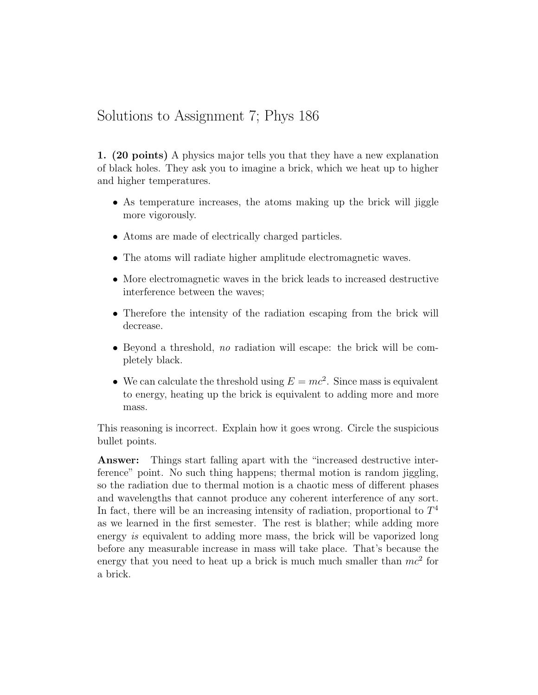## Solutions to Assignment 7; Phys 186

1. (20 points) A physics major tells you that they have a new explanation of black holes. They ask you to imagine a brick, which we heat up to higher and higher temperatures.

- As temperature increases, the atoms making up the brick will jiggle more vigorously.
- Atoms are made of electrically charged particles.
- The atoms will radiate higher amplitude electromagnetic waves.
- More electromagnetic waves in the brick leads to increased destructive interference between the waves;
- Therefore the intensity of the radiation escaping from the brick will decrease.
- Beyond a threshold, no radiation will escape: the brick will be completely black.
- We can calculate the threshold using  $E = mc^2$ . Since mass is equivalent to energy, heating up the brick is equivalent to adding more and more mass.

This reasoning is incorrect. Explain how it goes wrong. Circle the suspicious bullet points.

Answer: Things start falling apart with the "increased destructive interference" point. No such thing happens; thermal motion is random jiggling, so the radiation due to thermal motion is a chaotic mess of different phases and wavelengths that cannot produce any coherent interference of any sort. In fact, there will be an increasing intensity of radiation, proportional to  $T<sup>4</sup>$ as we learned in the first semester. The rest is blather; while adding more energy is equivalent to adding more mass, the brick will be vaporized long before any measurable increase in mass will take place. That's because the energy that you need to heat up a brick is much much smaller than  $mc^2$  for a brick.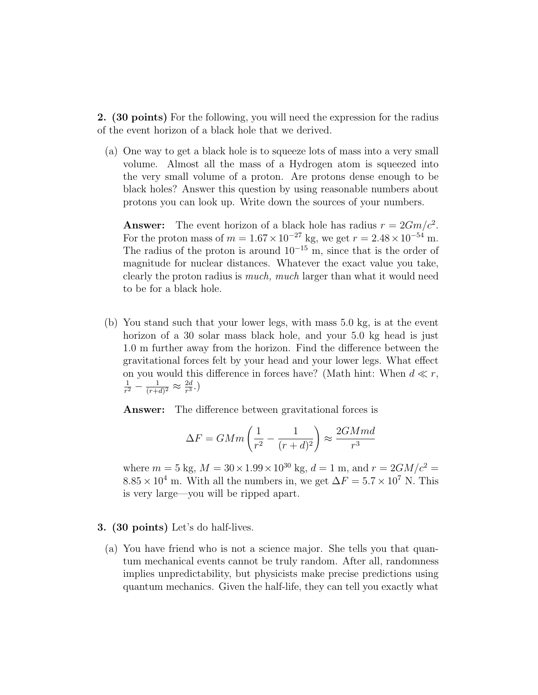2. (30 points) For the following, you will need the expression for the radius of the event horizon of a black hole that we derived.

(a) One way to get a black hole is to squeeze lots of mass into a very small volume. Almost all the mass of a Hydrogen atom is squeezed into the very small volume of a proton. Are protons dense enough to be black holes? Answer this question by using reasonable numbers about protons you can look up. Write down the sources of your numbers.

**Answer:** The event horizon of a black hole has radius  $r = 2Gm/c^2$ . For the proton mass of  $m = 1.67 \times 10^{-27}$  kg, we get  $r = 2.48 \times 10^{-54}$  m. The radius of the proton is around  $10^{-15}$  m, since that is the order of magnitude for nuclear distances. Whatever the exact value you take, clearly the proton radius is much, much larger than what it would need to be for a black hole.

(b) You stand such that your lower legs, with mass 5.0 kg, is at the event horizon of a 30 solar mass black hole, and your 5.0 kg head is just 1.0 m further away from the horizon. Find the difference between the gravitational forces felt by your head and your lower legs. What effect on you would this difference in forces have? (Math hint: When  $d \ll r$ , 1  $\frac{1}{r^2} - \frac{1}{(r+e)}$  $\frac{1}{(r+d)^2} \approx \frac{2d}{r^3}$  $\frac{2d}{r^3}$ .)

Answer: The difference between gravitational forces is

$$
\Delta F = GMm\left(\frac{1}{r^2} - \frac{1}{(r+d)^2}\right) \approx \frac{2GMmd}{r^3}
$$

where  $m = 5$  kg,  $M = 30 \times 1.99 \times 10^{30}$  kg,  $d = 1$  m, and  $r = 2GM/c^2 =$  $8.85 \times 10^4$  m. With all the numbers in, we get  $\Delta F = 5.7 \times 10^7$  N. This is very large—you will be ripped apart.

## 3. (30 points) Let's do half-lives.

(a) You have friend who is not a science major. She tells you that quantum mechanical events cannot be truly random. After all, randomness implies unpredictability, but physicists make precise predictions using quantum mechanics. Given the half-life, they can tell you exactly what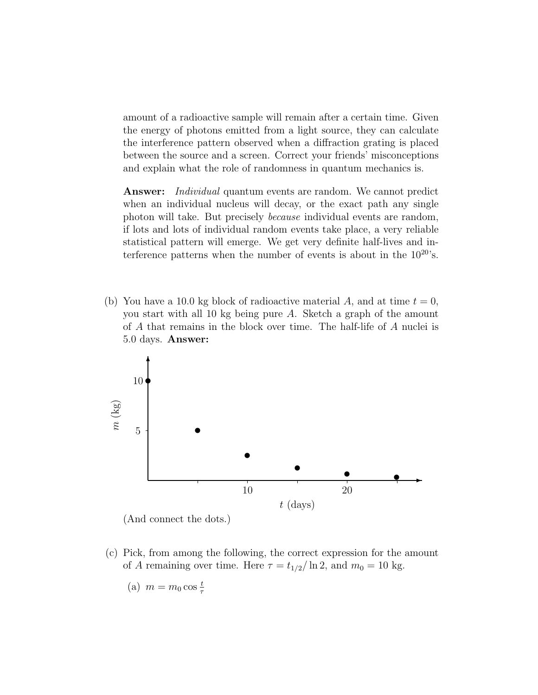amount of a radioactive sample will remain after a certain time. Given the energy of photons emitted from a light source, they can calculate the interference pattern observed when a diffraction grating is placed between the source and a screen. Correct your friends' misconceptions and explain what the role of randomness in quantum mechanics is.

**Answer:** Individual quantum events are random. We cannot predict when an individual nucleus will decay, or the exact path any single photon will take. But precisely because individual events are random, if lots and lots of individual random events take place, a very reliable statistical pattern will emerge. We get very definite half-lives and interference patterns when the number of events is about in the  $10^{20}$ 's.

(b) You have a 10.0 kg block of radioactive material A, and at time  $t = 0$ , you start with all 10 kg being pure A. Sketch a graph of the amount of A that remains in the block over time. The half-life of A nuclei is 5.0 days. Answer:



- (c) Pick, from among the following, the correct expression for the amount
	- of A remaining over time. Here  $\tau = t_{1/2}/\ln 2$ , and  $m_0 = 10$  kg.
		- (a)  $m = m_0 \cos \frac{t}{\tau}$